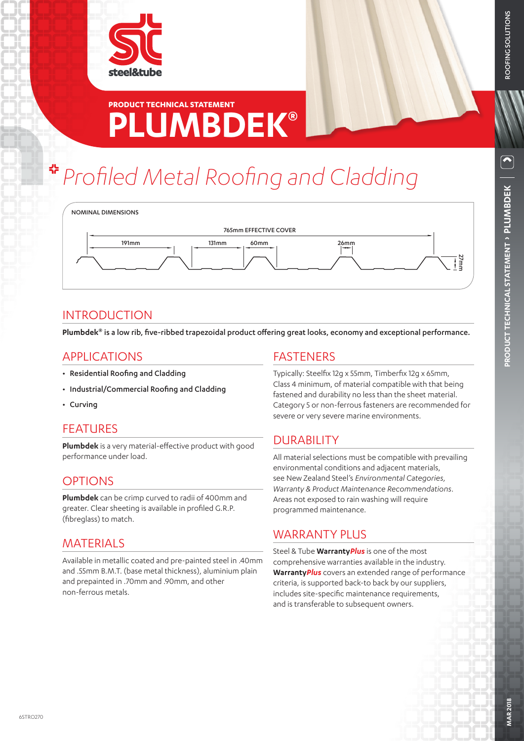

# **PLUMBDEK® PRODUCT TECHNICAL STATEMENT**

# *Profiled Metal Roofing and Cladding*



## **INTRODUCTION**

**Plumbdek®** is a low rib, five-ribbed trapezoidal product offering great looks, economy and exceptional performance.

## APPLICATIONS

- Residential Roofing and Cladding
- Industrial/Commercial Roofing and Cladding
- Curving

## FEATURES

**Plumbdek** is a very material-effective product with good performance under load.

## OPTIONS

**Plumbdek** can be crimp curved to radii of 400mm and greater. Clear sheeting is available in profiled G.R.P. (fibreglass) to match.

## MATERIALS

Available in metallic coated and pre-painted steel in .40mm and .55mm B.M.T. (base metal thickness), aluminium plain and prepainted in .70mm and .90mm, and other non-ferrous metals.

## FASTENERS

Typically: Steelfix 12g x 55mm, Timberfix 12g x 65mm, Class 4 minimum, of material compatible with that being fastened and durability no less than the sheet material. Category 5 or non-ferrous fasteners are recommended for severe or very severe marine environments.

## DURABILITY

All material selections must be compatible with prevailing environmental conditions and adjacent materials, see New Zealand Steel's *Environmental Categories, Warranty & Product Maintenance Recommendations*. Areas not exposed to rain washing will require programmed maintenance.

## WARRANTY PLUS

Steel & Tube **Warranty***Plus* is one of the most comprehensive warranties available in the industry. **Warranty***Plus* covers an extended range of performance criteria, is supported back-to back by our suppliers, includes site-specific maintenance requirements, and is transferable to subsequent owners.